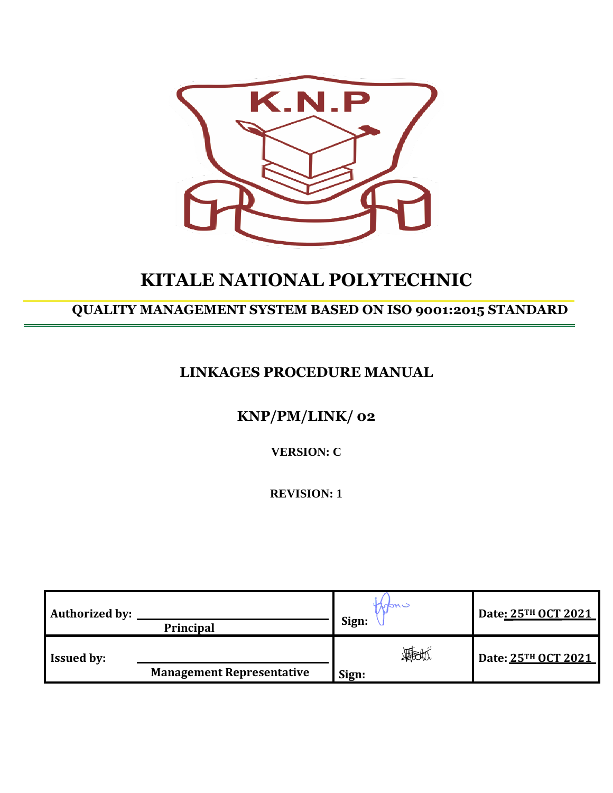

# **KITALE NATIONAL POLYTECHNIC**

## **QUALITY MANAGEMENT SYSTEM BASED ON ISO 9001:2015 STANDARD**

## **LINKAGES PROCEDURE MANUAL**

## **KNP/PM/LINK/ 02**

**VERSION: C**

**REVISION: 1**

| <b>Authorized by:</b> | Principal                        | intme<br>Sign: | Date: 25TH OCT 2021 |
|-----------------------|----------------------------------|----------------|---------------------|
| <b>Issued by:</b>     | <b>Management Representative</b> | 我们             | Date: 25TH OCT 2021 |
|                       |                                  | Sign:          |                     |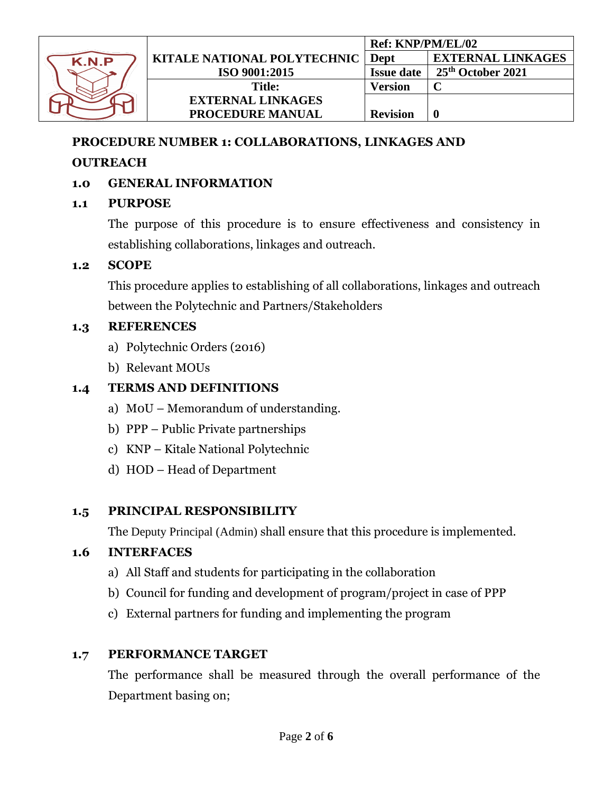

#### **PROCEDURE NUMBER 1: COLLABORATIONS, LINKAGES AND**

#### **OUTREACH**

#### **1.0 GENERAL INFORMATION**

#### **1.1 PURPOSE**

The purpose of this procedure is to ensure effectiveness and consistency in establishing collaborations, linkages and outreach.

#### **1.2 SCOPE**

This procedure applies to establishing of all collaborations, linkages and outreach between the Polytechnic and Partners/Stakeholders

#### **1.3 REFERENCES**

- a) Polytechnic Orders (2016)
- b) Relevant MOUs

### **1.4 TERMS AND DEFINITIONS**

- a) M0U Memorandum of understanding.
- b) PPP Public Private partnerships
- c) KNP Kitale National Polytechnic
- d) HOD Head of Department

#### **1.5 PRINCIPAL RESPONSIBILITY**

The Deputy Principal (Admin) shall ensure that this procedure is implemented.

#### **1.6 INTERFACES**

- a) All Staff and students for participating in the collaboration
- b) Council for funding and development of program/project in case of PPP
- c) External partners for funding and implementing the program

#### **1.7 PERFORMANCE TARGET**

The performance shall be measured through the overall performance of the Department basing on;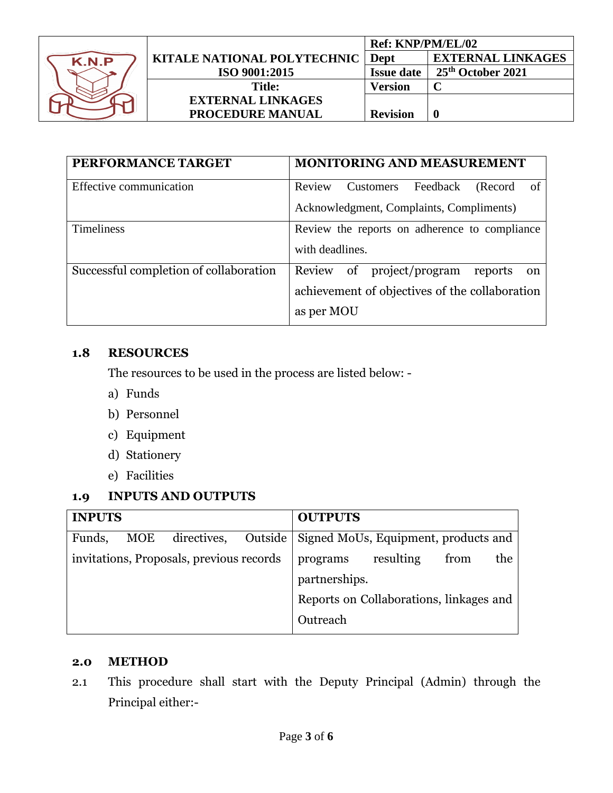

|                                    |                          | Ref: KNP/PM/EL/02 |                          |
|------------------------------------|--------------------------|-------------------|--------------------------|
| <b>KITALE NATIONAL POLYTECHNIC</b> |                          | Dept              | <b>EXTERNAL LINKAGES</b> |
|                                    | ISO 9001:2015            | <b>Issue date</b> | 25th October 2021        |
|                                    | <b>Title:</b>            | <b>Version</b>    |                          |
|                                    | <b>EXTERNAL LINKAGES</b> |                   |                          |
|                                    | <b>PROCEDURE MANUAL</b>  | <b>Revision</b>   |                          |

| PERFORMANCE TARGET                     | <b>MONITORING AND MEASUREMENT</b>                                                                                |  |  |  |  |
|----------------------------------------|------------------------------------------------------------------------------------------------------------------|--|--|--|--|
| Effective communication                | Feedback<br>Review<br>Customers<br>(Record)<br>-of<br>Acknowledgment, Complaints, Compliments)                   |  |  |  |  |
| <b>Timeliness</b>                      | Review the reports on adherence to compliance<br>with deadlines.                                                 |  |  |  |  |
| Successful completion of collaboration | project/program<br>of<br>Review<br>reports<br>on<br>achievement of objectives of the collaboration<br>as per MOU |  |  |  |  |

#### **1.8 RESOURCES**

The resources to be used in the process are listed below: -

- a) Funds
- b) Personnel
- c) Equipment
- d) Stationery
- e) Facilities

### **1.9 INPUTS AND OUTPUTS**

| <b>INPUTS</b>                            |     |             |          | <b>OUTPUTS</b>                       |                                         |     |  |
|------------------------------------------|-----|-------------|----------|--------------------------------------|-----------------------------------------|-----|--|
| Funds,                                   | MOE | directives, | Outside  | Signed MoUs, Equipment, products and |                                         |     |  |
| invitations, Proposals, previous records |     |             | programs | resulting                            | from                                    | the |  |
|                                          |     |             |          | partnerships.                        |                                         |     |  |
|                                          |     |             |          |                                      | Reports on Collaborations, linkages and |     |  |
|                                          |     |             |          | Outreach                             |                                         |     |  |

#### **2.0 METHOD**

2.1 This procedure shall start with the Deputy Principal (Admin) through the Principal either:-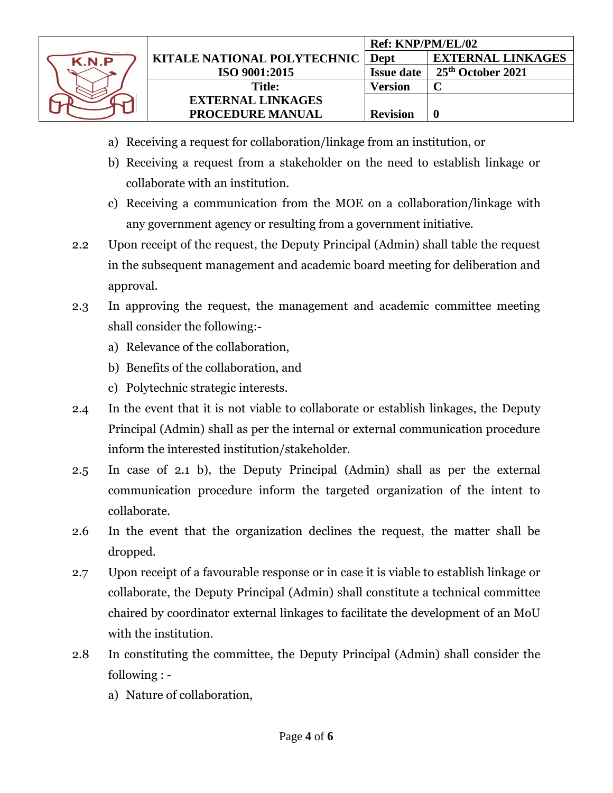

- a) Receiving a request for collaboration/linkage from an institution, or
- b) Receiving a request from a stakeholder on the need to establish linkage or collaborate with an institution.
- c) Receiving a communication from the MOE on a collaboration/linkage with any government agency or resulting from a government initiative.
- 2.2 Upon receipt of the request, the Deputy Principal (Admin) shall table the request in the subsequent management and academic board meeting for deliberation and approval.
- 2.3 In approving the request, the management and academic committee meeting shall consider the following:
	- a) Relevance of the collaboration,
	- b) Benefits of the collaboration, and
	- c) Polytechnic strategic interests.
- 2.4 In the event that it is not viable to collaborate or establish linkages, the Deputy Principal (Admin) shall as per the internal or external communication procedure inform the interested institution/stakeholder.
- 2.5 In case of 2.1 b), the Deputy Principal (Admin) shall as per the external communication procedure inform the targeted organization of the intent to collaborate.
- 2.6 In the event that the organization declines the request, the matter shall be dropped.
- 2.7 Upon receipt of a favourable response or in case it is viable to establish linkage or collaborate, the Deputy Principal (Admin) shall constitute a technical committee chaired by coordinator external linkages to facilitate the development of an MoU with the institution.
- 2.8 In constituting the committee, the Deputy Principal (Admin) shall consider the following :
	- a) Nature of collaboration,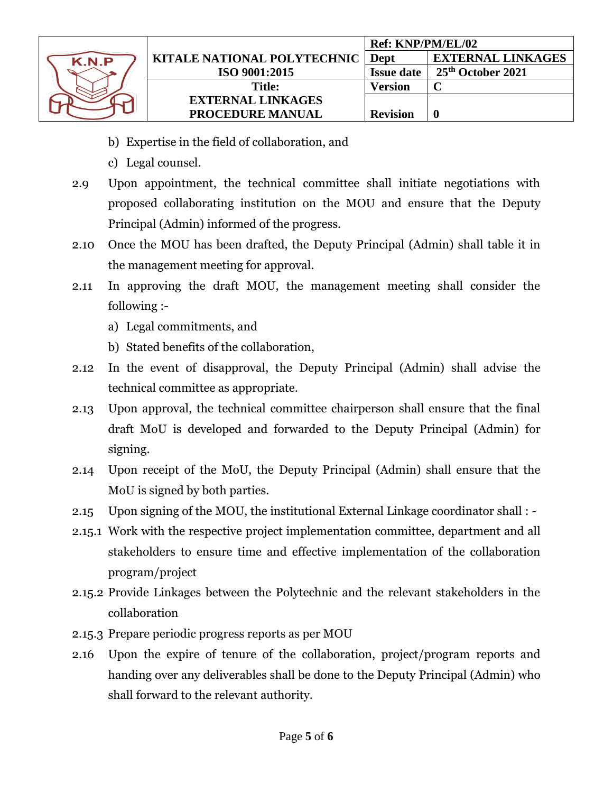

- b) Expertise in the field of collaboration, and
- c) Legal counsel.
- 2.9 Upon appointment, the technical committee shall initiate negotiations with proposed collaborating institution on the MOU and ensure that the Deputy Principal (Admin) informed of the progress.
- 2.10 Once the MOU has been drafted, the Deputy Principal (Admin) shall table it in the management meeting for approval.
- 2.11 In approving the draft MOU, the management meeting shall consider the following :
	- a) Legal commitments, and
	- b) Stated benefits of the collaboration,
- 2.12 In the event of disapproval, the Deputy Principal (Admin) shall advise the technical committee as appropriate.
- 2.13 Upon approval, the technical committee chairperson shall ensure that the final draft MoU is developed and forwarded to the Deputy Principal (Admin) for signing.
- 2.14 Upon receipt of the MoU, the Deputy Principal (Admin) shall ensure that the MoU is signed by both parties.
- 2.15 Upon signing of the MOU, the institutional External Linkage coordinator shall : -
- 2.15.1 Work with the respective project implementation committee, department and all stakeholders to ensure time and effective implementation of the collaboration program/project
- 2.15.2 Provide Linkages between the Polytechnic and the relevant stakeholders in the collaboration
- 2.15.3 Prepare periodic progress reports as per MOU
- 2.16 Upon the expire of tenure of the collaboration, project/program reports and handing over any deliverables shall be done to the Deputy Principal (Admin) who shall forward to the relevant authority.